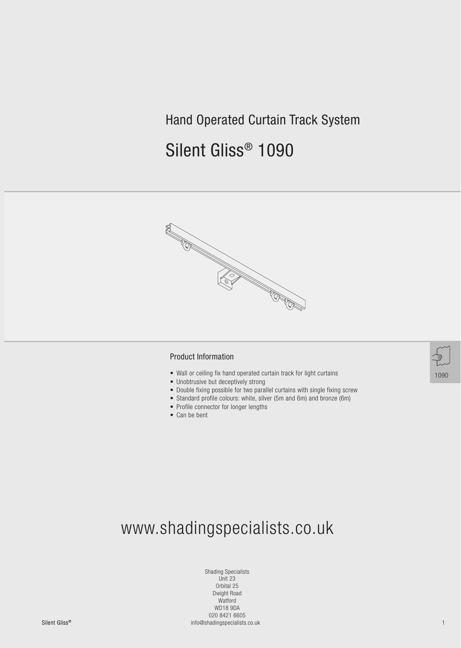## Hand Operated Curtain Track System

# Silent Gliss® 1090



#### Product Information

- Wall or ceiling fix hand operated curtain track for light curtains
- Unobtrusive but deceptively strong
- Double fixing possible for two parallel curtains with single fixing screw
- Standard profile colours: white, silver (5m and 6m) and bronze (6m)
- Profile connector for longer lengths
- Can be bent

# www.shadingspecialists.co.uk

Silent GlissSilent Gliss® 1 info@shadingspecialists.co.uk Shading Specialists Unit 23 Orbital 25 Dwight Road Watford WD18 9DA 020 8421 6605

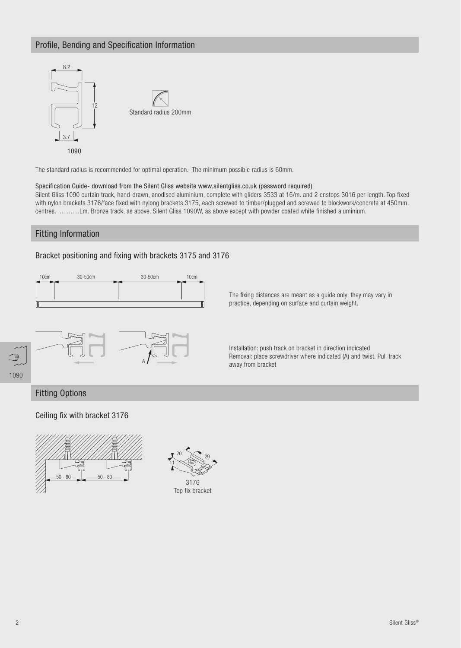### Profile, Bending and Specification Information



The standard radius is recommended for optimal operation. The minimum possible radius is 60mm.

#### Specification Guide- download from the Silent Gliss website www.silentgliss.co.uk (password required)

Silent Gliss 1090 curtain track, hand-drawn, anodised aluminium, complete with gliders 3533 at 16/m. and 2 enstops 3016 per length. Top fixed with nylon brackets 3176/face fixed with nylong brackets 3175, each screwed to timber/plugged and screwed to blockwork/concrete at 450mm. centres. ...........Lm. Bronze track, as above. Silent Gliss 1090W, as above except with powder coated white finished aluminium.

### Fitting Information

### Bracket positioning and fixing with brackets 3175 and 3176



The fixing distances are meant as a guide only: they may vary in practice, depending on surface and curtain weight.



Installation: push track on bracket in direction indicated Removal: place screwdriver where indicated (A) and twist. Pull track away from bracket

## 1090

### Fitting Options

Ceiling fix with bracket 3176





Top fix bracket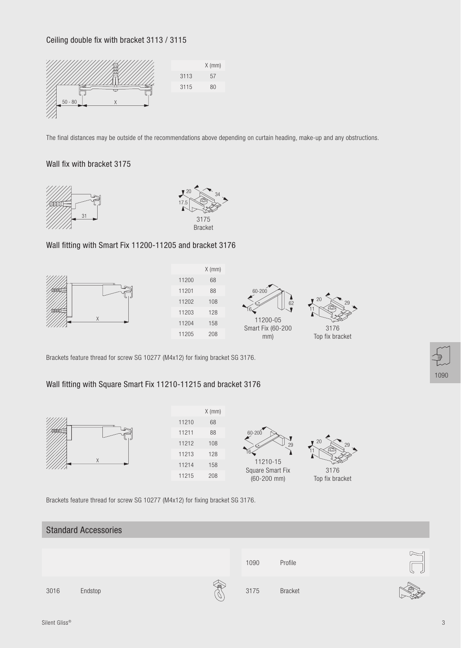### Ceiling double fix with bracket 3113 / 3115



The final distances may be outside of the recommendations above depending on curtain heading, make-up and any obstructions.

### Wall fix with bracket 3175





### Wall fitting with Smart Fix 11200-11205 and bracket 3176









Top fix bracket

Brackets feature thread for screw SG 10277 (M4x12) for fixing bracket SG 3176.

### Wall fitting with Square Smart Fix 11210-11215 and bracket 3176



|       | $X$ (mm) |
|-------|----------|
| 11210 | 68       |
| 11211 | 88       |
| 11212 | 108      |
| 11213 | 128      |
| 11214 | 158      |
| 11215 | 208      |
|       |          |





Top fix bracket

Brackets feature thread for screw SG 10277 (M4x12) for fixing bracket SG 3176.

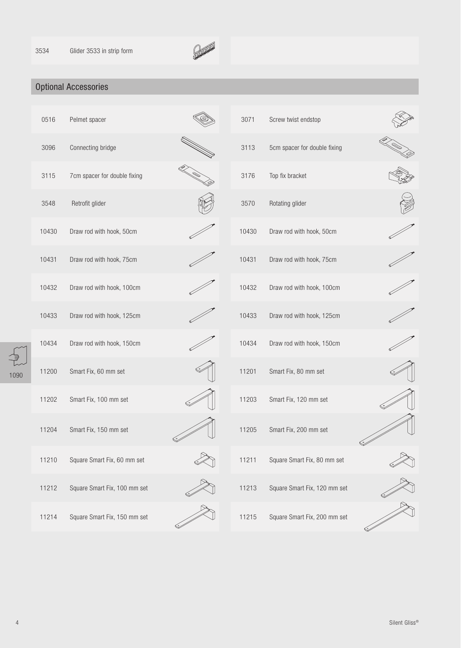

### Optional Accessories

|      | 0516  | Pelmet spacer                | 3071  | Screw twist endstop          |  |
|------|-------|------------------------------|-------|------------------------------|--|
| 1090 | 3096  | Connecting bridge            | 3113  | 5cm spacer for double fixing |  |
|      | 3115  | 7cm spacer for double fixing | 3176  | Top fix bracket              |  |
|      | 3548  | Retrofit glider              | 3570  | Rotating glider              |  |
|      | 10430 | Draw rod with hook, 50cm     | 10430 | Draw rod with hook, 50cm     |  |
|      | 10431 | Draw rod with hook, 75cm     | 10431 | Draw rod with hook, 75cm     |  |
|      | 10432 | Draw rod with hook, 100cm    | 10432 | Draw rod with hook, 100cm    |  |
|      | 10433 | Draw rod with hook, 125cm    | 10433 | Draw rod with hook, 125cm    |  |
|      | 10434 | Draw rod with hook, 150cm    | 10434 | Draw rod with hook, 150cm    |  |
|      | 11200 | Smart Fix, 60 mm set         | 11201 | Smart Fix, 80 mm set         |  |
|      | 11202 | Smart Fix, 100 mm set        | 11203 | Smart Fix, 120 mm set        |  |
|      | 11204 | Smart Fix, 150 mm set        | 11205 | Smart Fix, 200 mm set        |  |
|      | 11210 | Square Smart Fix, 60 mm set  | 11211 | Square Smart Fix, 80 mm set  |  |
|      | 11212 | Square Smart Fix, 100 mm set | 11213 | Square Smart Fix, 120 mm set |  |
|      | 11214 | Square Smart Fix, 150 mm set | 11215 | Square Smart Fix, 200 mm set |  |